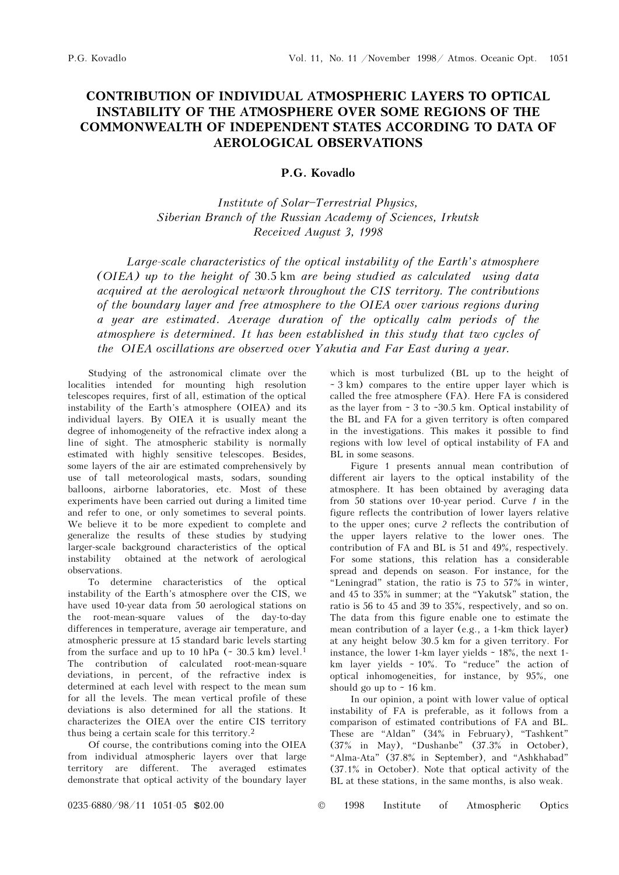## CONTRIBUTION OF INDIVIDUAL ATMOSPHERIC LAYERS TO OPTICAL INSTABILITY OF THE ATMOSPHERE OVER SOME REGIONS OF THE COMMONWEALTH OF INDEPENDENT STATES ACCORDING TO DATA OF AEROLOGICAL OBSERVATIONS

## P.G. Kovadlo

## Institute of Solar\$Terrestrial Physics, Siberian Branch of the Russian Academy of Sciences, Irkutsk Received August 3, 1998

Large-scale characteristics of the optical instability of the Earth's atmosphere (OIEA) up to the height of 30.5 km are being studied as calculated using data acquired at the aerological network throughout the CIS territory. The contributions of the boundary layer and free atmosphere to the OIEA over various regions during a year are estimated. Average duration of the optically calm periods of the atmosphere is determined. It has been established in this study that two cycles of the OIEA oscillations are observed over Yakutia and Far East during a year.

Studying of the astronomical climate over the localities intended for mounting high resolution telescopes requires, first of all, estimation of the optical instability of the Earth's atmosphere (OIEA) and its individual layers. By OIEA it is usually meant the degree of inhomogeneity of the refractive index along a line of sight. The atmospheric stability is normally estimated with highly sensitive telescopes. Besides, some layers of the air are estimated comprehensively by use of tall meteorological masts, sodars, sounding balloons, airborne laboratories, etc. Most of these experiments have been carried out during a limited time and refer to one, or only sometimes to several points. We believe it to be more expedient to complete and generalize the results of these studies by studying larger-scale background characteristics of the optical instability obtained at the network of aerological observations.

To determine characteristics of the optical instability of the Earth's atmosphere over the CIS, we have used 10-year data from 50 aerological stations on the root-mean-square values of the day-to-day differences in temperature, average air temperature, and atmospheric pressure at 15 standard baric levels starting from the surface and up to 10 hPa  $($   $\sim$  30.5 km) level.<sup>1</sup> The contribution of calculated root-mean-square deviations, in percent, of the refractive index is determined at each level with respect to the mean sum for all the levels. The mean vertical profile of these deviations is also determined for all the stations. It characterizes the OIEA over the entire CIS territory thus being a certain scale for this territory.<sup>2</sup>

Of course, the contributions coming into the OIEA from individual atmospheric layers over that large territory are different. The averaged estimates demonstrate that optical activity of the boundary layer which is most turbulized (BL up to the height of  $\sim$  3 km) compares to the entire upper layer which is called the free atmosphere (FA). Here FA is considered as the layer from ~ 3 to ~30.5 km. Optical instability of the BL and FA for a given territory is often compared in the investigations. This makes it possible to find regions with low level of optical instability of FA and BL in some seasons.

Figure 1 presents annual mean contribution of different air layers to the optical instability of the atmosphere. It has been obtained by averaging data from 50 stations over 10-year period. Curve  $1$  in the figure reflects the contribution of lower layers relative to the upper ones; curve 2 reflects the contribution of the upper layers relative to the lower ones. The contribution of FA and BL is 51 and 49%, respectively. For some stations, this relation has a considerable spread and depends on season. For instance, for the "Leningrad" station, the ratio is 75 to 57% in winter, and 45 to 35% in summer; at the "Yakutsk" station, the ratio is 56 to 45 and 39 to 35%, respectively, and so on. The data from this figure enable one to estimate the mean contribution of a layer (e.g., a 1-km thick layer) at any height below 30.5 km for a given territory. For instance, the lower 1-km layer yields  $\sim$  18%, the next 1km layer yields  $\sim 10\%$ . To "reduce" the action of optical inhomogeneities, for instance, by 95%, one should go up to  $\sim$  16 km.

In our opinion, a point with lower value of optical instability of FA is preferable, as it follows from a comparison of estimated contributions of FA and BL. These are "Aldan" (34% in February), "Tashkent"  $(37\%$  in May), "Dushanbe"  $(37.3\%$  in October), "Alma-Ata"  $(37.8\%$  in September), and "Ashkhabad" (37.1% in October). Note that optical activity of the BL at these stations, in the same months, is also weak.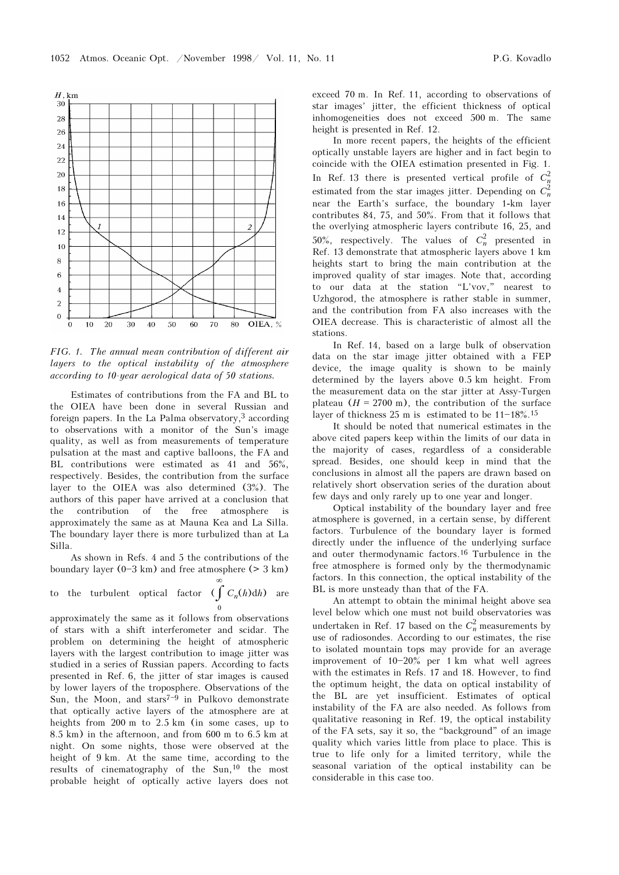

FIG. 1. The annual mean contribution of different air layers to the optical instability of the atmosphere according to 10-year aerological data of 50 stations.

Estimates of contributions from the FA and BL to the OIEA have been done in several Russian and foreign papers. In the La Palma observatory,3 according to observations with a monitor of the Sun's image quality, as well as from measurements of temperature pulsation at the mast and captive balloons, the FA and BL contributions were estimated as 41 and 56%, respectively. Besides, the contribution from the surface layer to the OIEA was also determined (3%). The authors of this paper have arrived at a conclusion that the contribution of the free atmosphere is approximately the same as at Mauna Kea and La Silla. The boundary layer there is more turbulized than at La Silla.

As shown in Refs. 4 and 5 the contributions of the boundary layer  $(0-3 \text{ km})$  and free atmosphere ( $> 3 \text{ km}$ )

∞

to the turbulent optical factor 
$$
\iint_{0}^{L} C_n(h) dh
$$
 are

approximately the same as it follows from observations of stars with a shift interferometer and scidar. The problem on determining the height of atmospheric layers with the largest contribution to image jitter was studied in a series of Russian papers. According to facts presented in Ref. 6, the jitter of star images is caused by lower layers of the troposphere. Observations of the Sun, the Moon, and stars<sup> $7-9$ </sup> in Pulkovo demonstrate that optically active layers of the atmosphere are at heights from 200 m to 2.5 km (in some cases, up to 8.5 km) in the afternoon, and from 600 m to 6.5 km at night. On some nights, those were observed at the height of 9 km. At the same time, according to the results of cinematography of the Sun,10 the most probable height of optically active layers does not exceed 70 m. In Ref. 11, according to observations of star images' jitter, the efficient thickness of optical inhomogeneities does not exceed 500 m. The same height is presented in Ref. 12.

In more recent papers, the heights of the efficient optically unstable layers are higher and in fact begin to coincide with the OIEA estimation presented in Fig. 1. In Ref. 13 there is presented vertical profile of  $C_n^2$ estimated from the star images jitter. Depending on  $C_n^2$ near the Earth's surface, the boundary 1-km layer contributes 84, 75, and 50%. From that it follows that the overlying atmospheric layers contribute 16, 25, and 50%, respectively. The values of  $C_n^2$  presented in Ref. 13 demonstrate that atmospheric layers above 1 km heights start to bring the main contribution at the improved quality of star images. Note that, according to our data at the station "L'vov," nearest to Uzhgorod, the atmosphere is rather stable in summer, and the contribution from FA also increases with the OIEA decrease. This is characteristic of almost all the stations.

In Ref. 14, based on a large bulk of observation data on the star image jitter obtained with a FEP device, the image quality is shown to be mainly determined by the layers above 0.5 km height. From the measurement data on the star jitter at Assy-Turgen plateau  $(H = 2700 \text{ m})$ , the contribution of the surface layer of thickness 25 m is estimated to be  $11-18\%$ .<sup>15</sup>

It should be noted that numerical estimates in the above cited papers keep within the limits of our data in the majority of cases, regardless of a considerable spread. Besides, one should keep in mind that the conclusions in almost all the papers are drawn based on relatively short observation series of the duration about few days and only rarely up to one year and longer.

Optical instability of the boundary layer and free atmosphere is governed, in a certain sense, by different factors. Turbulence of the boundary layer is formed directly under the influence of the underlying surface and outer thermodynamic factors.16 Turbulence in the free atmosphere is formed only by the thermodynamic factors. In this connection, the optical instability of the BL is more unsteady than that of the FA.

An attempt to obtain the minimal height above sea level below which one must not build observatories was undertaken in Ref. 17 based on the  $C_n^2$  measurements by use of radiosondes. According to our estimates, the rise to isolated mountain tops may provide for an average improvement of  $10-20%$  per 1 km what well agrees with the estimates in Refs. 17 and 18. However, to find the optimum height, the data on optical instability of the BL are yet insufficient. Estimates of optical instability of the FA are also needed. As follows from qualitative reasoning in Ref. 19, the optical instability of the FA sets, say it so, the "background" of an image quality which varies little from place to place. This is true to life only for a limited territory, while the seasonal variation of the optical instability can be considerable in this case too.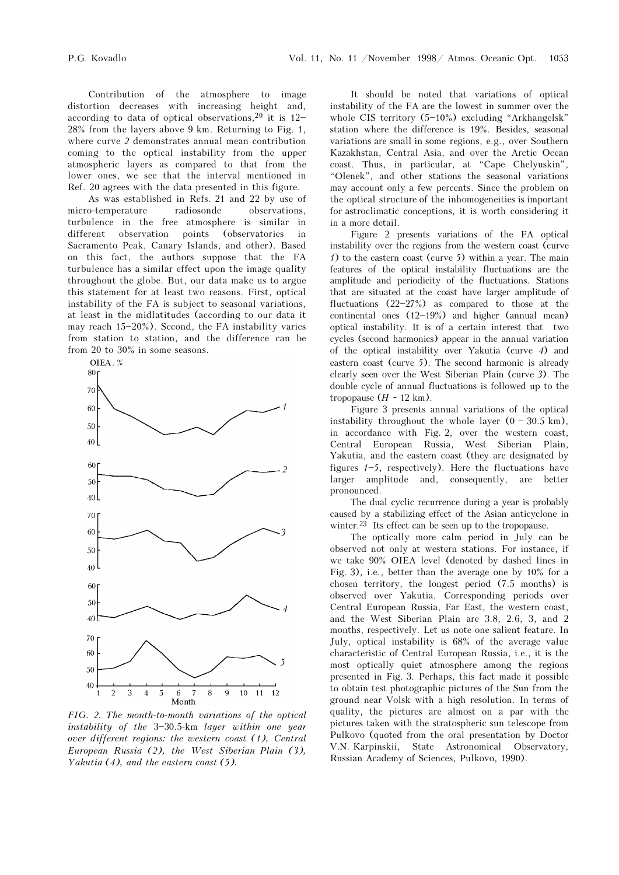Contribution of the atmosphere to image distortion decreases with increasing height and, according to data of optical observations,  $20$  it is 12-28% from the layers above 9 km. Returning to Fig. 1, where curve 2 demonstrates annual mean contribution coming to the optical instability from the upper atmospheric layers as compared to that from the lower ones, we see that the interval mentioned in Ref. 20 agrees with the data presented in this figure.

As was established in Refs. 21 and 22 by use of micro-temperature radiosonde observations, turbulence in the free atmosphere is similar in different observation points (observatories in Sacramento Peak, Canary Islands, and other). Based on this fact, the authors suppose that the FA turbulence has a similar effect upon the image quality throughout the globe. But, our data make us to argue this statement for at least two reasons. First, optical instability of the FA is subject to seasonal variations, at least in the midlatitudes (according to our data it may reach  $15-20\%$ ). Second, the FA instability varies from station to station, and the difference can be from 20 to 30% in some seasons.



FIG. 2. The month-to-month variations of the optical instability of the  $3-30.5$ -km layer within one year over different regions: the western coast (1), Central European Russia (2), the West Siberian Plain (3), Yakutia  $(4)$ , and the eastern coast  $(5)$ .

It should be noted that variations of optical instability of the FA are the lowest in summer over the whole CIS territory  $(5-10\%)$  excluding "Arkhangelsk" station where the difference is 19%. Besides, seasonal variations are small in some regions, e.g., over Southern Kazakhstan, Central Asia, and over the Arctic Ocean coast. Thus, in particular, at "Cape Chelyuskin", œOlenek", and other stations the seasonal variations may account only a few percents. Since the problem on the optical structure of the inhomogeneities is important for astroclimatic conceptions, it is worth considering it in a more detail.

Figure 2 presents variations of the FA optical instability over the regions from the western coast (curve  $1)$  to the eastern coast (curve 5) within a year. The main features of the optical instability fluctuations are the amplitude and periodicity of the fluctuations. Stations that are situated at the coast have larger amplitude of fluctuations  $(22-27%)$  as compared to those at the continental ones  $(12-19%)$  and higher (annual mean) optical instability. It is of a certain interest that two cycles (second harmonics) appear in the annual variation of the optical instability over Yakutia (curve 4) and eastern coast (curve 5). The second harmonic is already clearly seen over the West Siberian Plain (curve 3). The double cycle of annual fluctuations is followed up to the tropopause  $(H \sim 12 \text{ km})$ .

Figure 3 presents annual variations of the optical instability throughout the whole layer  $(0 - 30.5 \text{ km})$ , in accordance with Fig. 2, over the western coast, Central European Russia, West Siberian Plain, Yakutia, and the eastern coast (they are designated by figures  $1-5$ , respectively). Here the fluctuations have larger amplitude and, consequently, are better pronounced.

The dual cyclic recurrence during a year is probably caused by a stabilizing effect of the Asian anticyclone in winter.<sup>23</sup> Its effect can be seen up to the tropopause.

The optically more calm period in July can be observed not only at western stations. For instance, if we take 90% OIEA level (denoted by dashed lines in Fig. 3), i.e., better than the average one by 10% for a chosen territory, the longest period (7.5 months) is observed over Yakutia. Corresponding periods over Central European Russia, Far East, the western coast, and the West Siberian Plain are 3.8, 2.6, 3, and 2 months, respectively. Let us note one salient feature. In July, optical instability is 68% of the average value characteristic of Central European Russia, i.e., it is the most optically quiet atmosphere among the regions presented in Fig. 3. Perhaps, this fact made it possible to obtain test photographic pictures of the Sun from the ground near Volsk with a high resolution. In terms of quality, the pictures are almost on a par with the pictures taken with the stratospheric sun telescope from Pulkovo (quoted from the oral presentation by Doctor V.N. Karpinskii, State Astronomical Observatory, Russian Academy of Sciences, Pulkovo, 1990).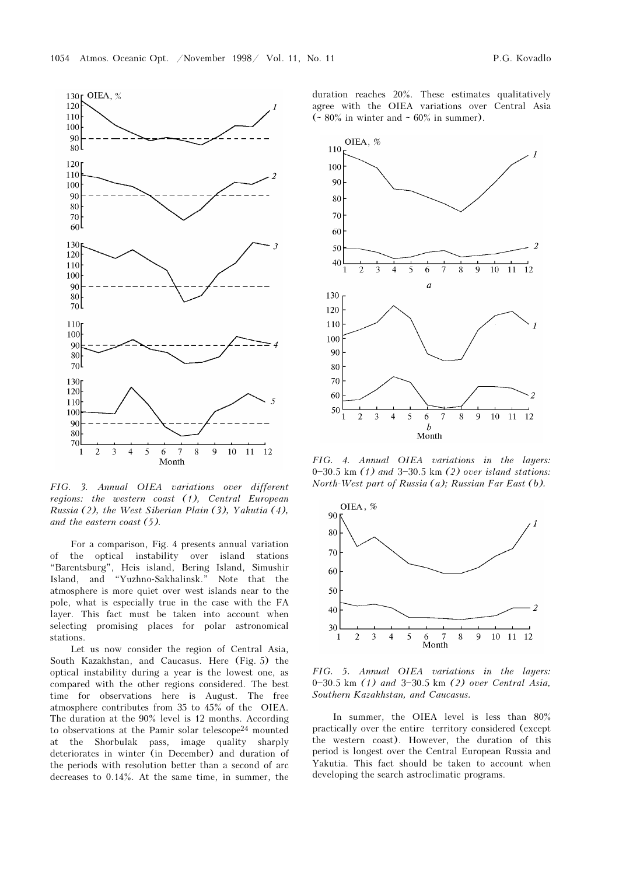

FIG. 3. Annual OIEA variations over different regions: the western coast (1), Central European Russia (2), the West Siberian Plain (3), Yakutia (4), and the eastern coast (5).

For a comparison, Fig. 4 presents annual variation of the optical instability over island stations œBarentsburg", Heis island, Bering Island, Simushir Island, and œYuzhno-Sakhalinsk." Note that the atmosphere is more quiet over west islands near to the pole, what is especially true in the case with the FA layer. This fact must be taken into account when selecting promising places for polar astronomical stations.

Let us now consider the region of Central Asia, South Kazakhstan, and Caucasus. Here (Fig. 5) the optical instability during a year is the lowest one, as compared with the other regions considered. The best time for observations here is August. The free atmosphere contributes from 35 to 45% of the OIEA. The duration at the 90% level is 12 months. According to observations at the Pamir solar telescope24 mounted at the Shorbulak pass, image quality sharply deteriorates in winter (in December) and duration of the periods with resolution better than a second of arc decreases to 0.14%. At the same time, in summer, the duration reaches 20%. These estimates qualitatively agree with the OIEA variations over Central Asia ( $\sim 80\%$  in winter and  $\sim 60\%$  in summer).



FIG. 4. Annual OIEA variations in the layers: 0 $-30.5$  km (1) and  $3-30.5$  km (2) over island stations: North-West part of Russia (a); Russian Far East (b).



FIG. 5. Annual OIEA variations in the layers: 0 $-30.5$  km (1) and  $3-30.5$  km (2) over Central Asia, Southern Kazakhstan, and Caucasus.

In summer, the OIEA level is less than 80% practically over the entire territory considered (except the western coast). However, the duration of this period is longest over the Central European Russia and Yakutia. This fact should be taken to account when developing the search astroclimatic programs.